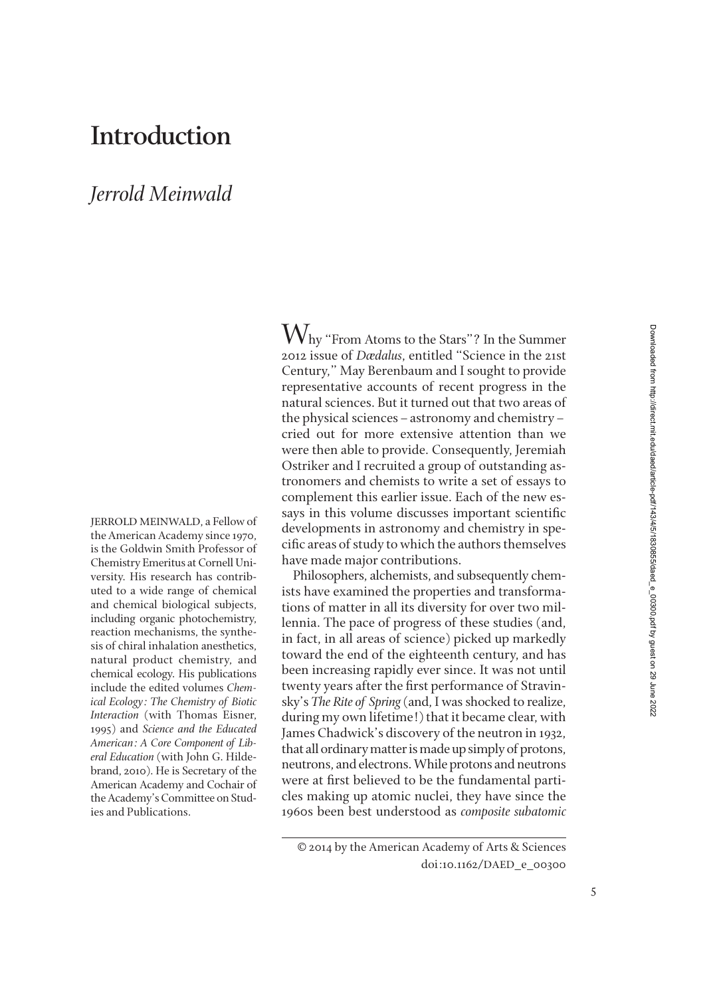## **Introduction**

## *Jerrold Meinwald*

JERROLD MEINWALD, a Fellow of the American Academy since 1970, is the Goldwin Smith Professor of Chemistry Emeritus at Cornell Uni versity. His research has contributed to a wide range of chemical and chemical biological subjects, including organic photochemistry, reaction mechanisms, the synthesis of chiral inhalation anesthetics, natural product chemistry, and chemical ecology. His publications include the edited volumes *Chem ical Ecology: The Chemistry of Biotic Interaction* (with Thomas Eisner, 1995) and *Science and the Educated* American: A Core Component of Lib*eral Education* (with John G. Hildebrand, 2010). He is Secretary of the American Academy and Cochair of the Academy's Committee on Studies and Publications.

 $\operatorname{\mathsf{W}}_{\text{hy}}$  "From Atoms to the Stars"? In the Summer 2012 issue of *Dædalus*, entitled "Science in the 21st Century," May Berenbaum and I sought to provide representative accounts of recent progress in the natural sciences. But it turned out that two areas of the physical sciences–astronomy and chemistry– cried out for more extensive attention than we were then able to provide. Consequently, Jeremiah Ostriker and I recruited a group of outstanding astronomers and chemists to write a set of essays to complement this earlier issue. Each of the new essays in this volume discusses important scientific developments in astronomy and chemistry in specific areas of study to which the authors themselves have made major contributions.

Philosophers, alchemists, and subsequently chemists have examined the properties and transformations of matter in all its diversity for over two millennia. The pace of progress of these studies (and, in fact, in all areas of science) picked up markedly toward the end of the eighteenth century, and has been increasing rapidly ever since. It was not until twenty years after the first performance of Stravinsky's *The Rite of Spring* (and, I was shocked to realize, during my own lifetime!) that it became clear, with James Chadwick's discovery of the neutron in 1932, that all ordinary matter is made up simply of protons, neutrons, and electrons. While protons and neutrons were at first believed to be the fundamental particles making up atomic nuclei, they have since the 1960s been best understood as *composite subatomic*

<sup>© 2014</sup> by the American Academy of Arts & Sciences doi:10.1162/DAED\_e\_00300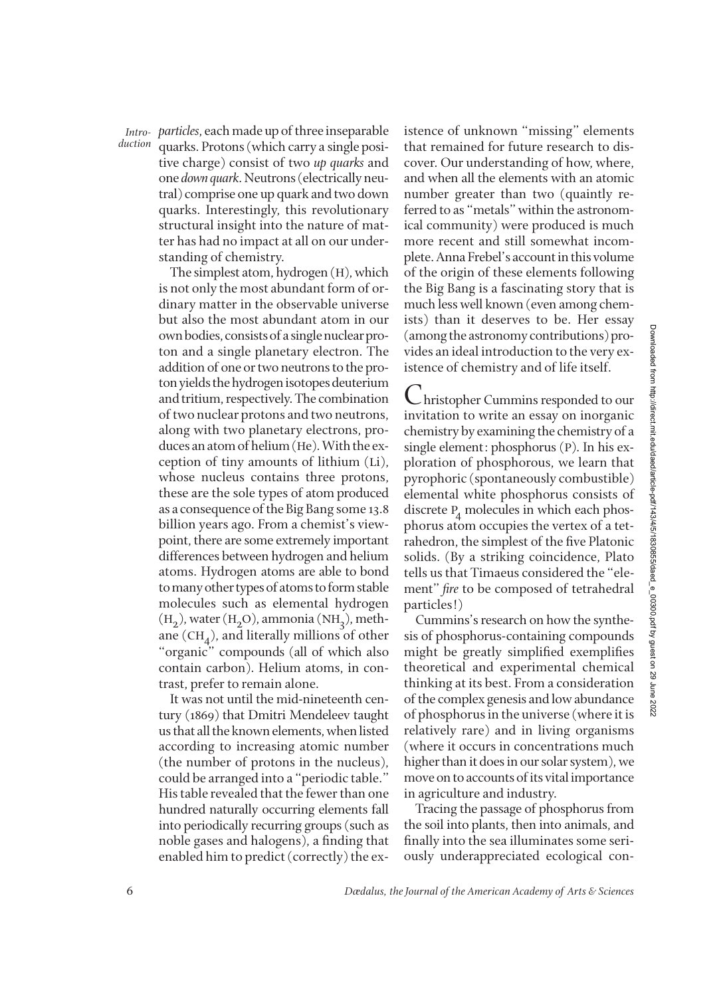*particles*, each made up of three inseparable *Intro*  duction quarks. Protons (which carry a single positive charge) consist of two *up quarks* and one *down quark*. Neutrons (electrically neu tral) comprise one up quark and two down quarks. Interestingly, this revolutionary structural insight into the nature of matter has had no impact at all on our understanding of chemistry.

> The simplest atom, hydrogen (H), which is not only the most abundant form of or dinary matter in the observable universe but also the most abundant atom in our own bodies, consists of a single nuclear proton and a single planetary electron. The addition of one or two neutrons to the proton yields the hydrogen isotopes deuterium and tritium, respectively. The combination of two nuclear protons and two neutrons, along with two planetary electrons, produces an atom of helium (He). With the exception of tiny amounts of lithium (Li), whose nucleus contains three protons, these are the sole types of atom produced as a consequence of the Big Bang some 13.8 billion years ago. From a chemist's viewpoint, there are some extremely important differences between hydrogen and helium atoms. Hydrogen atoms are able to bond to many other types of atoms to form stable molecules such as elemental hydrogen  $(H_2)$ , water  $(H_2O)$ , ammonia (NH<sub>3</sub>), methane  $(CH_A)$ , and literally millions of other "organic" compounds (all of which also contain carbon). Helium atoms, in contrast, prefer to remain alone.

> It was not until the mid-nineteenth century (1869) that Dmitri Mendeleev taught us that all the known elements, when listed according to increasing atomic number (the number of protons in the nucleus), could be arranged into a "periodic table." His table revealed that the fewer than one hundred naturally occurring elements fall into periodically recurring groups (such as noble gases and halogens), a finding that enabled him to predict (correctly) the ex -

istence of unknown "missing" elements that remained for future research to discover. Our understanding of how, where, and when all the elements with an atomic number greater than two (quaintly referred to as "metals" within the astronomical community) were produced is much more recent and still somewhat incomplete. Anna Frebel's account in this volume of the origin of these elements following the Big Bang is a fascinating story that is much less well known (even among chem ists) than it deserves to be. Her essay (among the astronomy contributions) pro vides an ideal introduction to the very existence of chemistry and of life itself.

Christopher Cummins responded to our invitation to write an essay on inorganic chemistry by examining the chemistry of a single element: phosphorus (P). In his exploration of phosphorous, we learn that py rophoric (spontaneously combustible) elemental white phosphorus consists of discrete  $P_{4}$  molecules in which each phosphorus atom occupies the vertex of a tetrahedron, the simplest of the five Platonic solids. (By a striking coincidence, Plato tells us that Timaeus considered the "element" *fire* to be composed of tetrahedral particles!)

Cummins's research on how the synthesis of phosphorus-containing compounds might be greatly simplified exemplifies the oretical and experimental chemical thinking at its best. From a consideration of the complex genesis and low abundance of phosphorus in the universe (where it is relatively rare) and in living organisms (where it occurs in concentrations much higher than it does in our solar system), we move on to accounts of its vital importance in agriculture and industry.

Tracing the passage of phosphorus from the soil into plants, then into animals, and finally into the sea illuminates some seriously underappreciated ecological con-

## *Dædalus, the Journal of the American Academy of Arts & Sciences*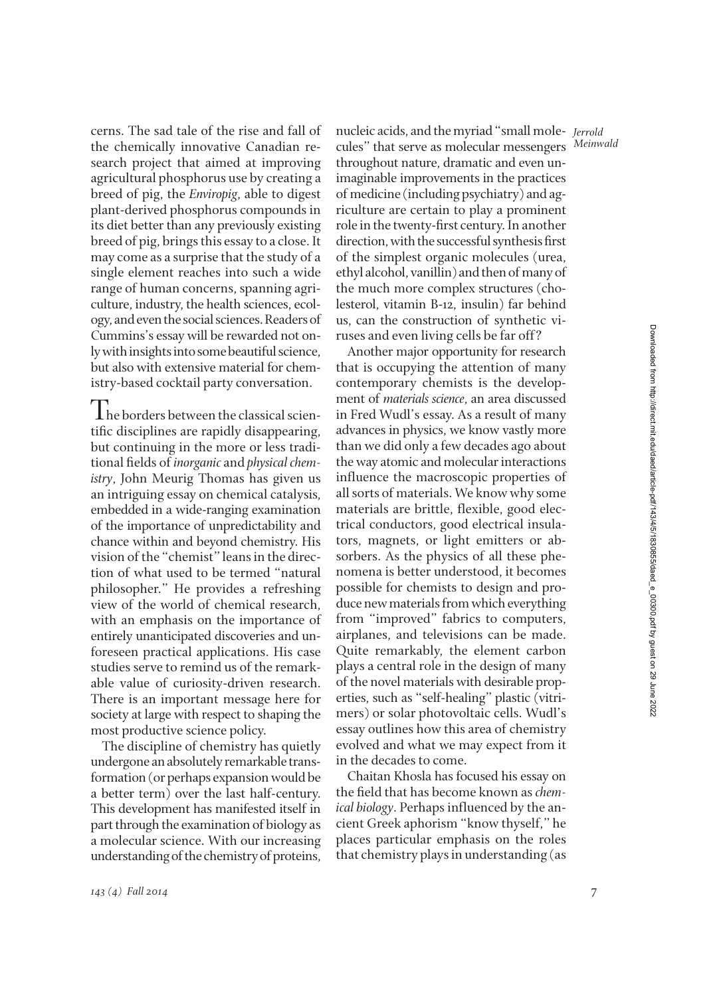cerns. The sad tale of the rise and fall of the chemically innovative Canadian research project that aimed at improving agricultural phosphorus use by creating a breed of pig, the *Enviropig*, able to digest plant-derived phosphorus compounds in its diet better than any previously existing breed of pig, brings this essay to a close. It may come as a surprise that the study of a single element reaches into such a wide range of human concerns, spanning agriculture, industry, the health sciences, ecology, and even the social sciences. Readers of Cummins's essay will be rewarded not only with insights into some beautiful science, but also with extensive material for chemistry-based cocktail party conversation.

 $\prod_{i=1}^{n}$  he borders between the classical scientific disciplines are rapidly disappearing, but continuing in the more or less traditional fields of *inorganic* and *physical chemistry*, John Meurig Thomas has given us an intriguing essay on chemical catalysis, embedded in a wide-ranging examination of the importance of unpredictability and chance within and beyond chemistry. His vision of the "chemist" leans in the direction of what used to be termed "natural philosopher." He provides a refreshing view of the world of chemical research, with an emphasis on the importance of entirely unanticipated discoveries and un foreseen practical applications. His case studies serve to remind us of the remarkable value of curiosity-driven research. There is an important message here for society at large with respect to shaping the most productive science policy.

The discipline of chemistry has quietly undergone an absolutely remarkable transformation (or perhaps expansion would be a better term) over the last half-century. This development has manifested itself in part through the examination of biology as a molecular science. With our increasing understanding of the chemistry of proteins, nucleic acids, and the myriad "small mole-*Jerrold* cules" that serve as molecular messengers *Meinwald* throughout nature, dramatic and even unimaginable improvements in the practices of medicine (including psychiatry) and ag riculture are certain to play a prominent role in the twenty-first century. In another direction, with the successful synthesis first of the simplest organic molecules (urea, ethyl alcohol, vanillin) and then of many of the much more complex structures (cholesterol, vitamin B-12, insulin) far behind us, can the construction of synthetic vi ruses and even living cells be far off?

Another major opportunity for research that is occupying the attention of many contemporary chemists is the development of *materials science*, an area discussed in Fred Wudl's essay. As a result of many advances in physics, we know vastly more than we did only a few decades ago about the way atomic and molecular interactions influence the macroscopic properties of all sorts of materials. We know why some materials are brittle, flexible, good electrical conductors, good electrical insulators, magnets, or light emitters or absorbers. As the physics of all these phenomena is better understood, it becomes possible for chemists to design and produce new materials from which everything from "improved" fabrics to computers, airplanes, and televisions can be made. Quite remarkably, the element carbon plays a central role in the design of many of the novel materials with desirable prop erties, such as "self-healing" plastic (vitri mers) or solar photovoltaic cells. Wudl's essay outlines how this area of chemistry evolved and what we may expect from it in the decades to come.

Chaitan Khosla has focused his essay on the field that has become known as *chemical biology*. Perhaps influenced by the ancient Greek aphorism "know thyself," he places particular emphasis on the roles that chemistry plays in understanding (as